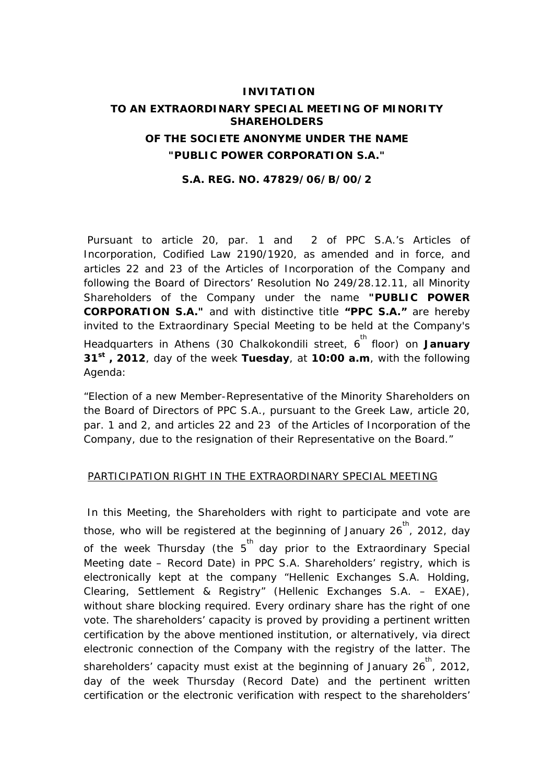# **INVITATION TO AN EXTRAORDINARY SPECIAL MEETING OF MINORITY SHAREHOLDERS OF THE SOCIETE ANONYME UNDER THE NAME "PUBLIC POWER CORPORATION S.A."**

#### **S.A. REG. NO. 47829/06/B/00/2**

 Pursuant to article 20, par. 1 and 2 of PPC S.A.'s Articles of Incorporation, Codified Law 2190/1920, as amended and in force, and articles 22 and 23 of the Articles of Incorporation of the Company and following the Board of Directors' Resolution No 249/28.12.11, all Minority Shareholders of the Company under the name **"PUBLIC POWER CORPORATION S.A."** and with distinctive title **"PPC S.A."** are hereby invited to the Extraordinary Special Meeting to be held at the Company's Headquarters in Athens (30 Chalkokondili street, 6<sup>th</sup> floor) on **January 31st , 2012**, day of the week **Tuesday**, at **10:00 a.m**, with the following Agenda:

"Election of a new Member-Representative of the Minority Shareholders on the Board of Directors of PPC S.A., pursuant to the Greek Law, article 20, par. 1 and 2, and articles 22 and 23 of the Articles of Incorporation of the Company, due to the resignation of their Representative on the Board."

### PARTICIPATION RIGHT IN THE EXTRAORDINARY SPECIAL MEETING

 In this Meeting, the Shareholders with right to participate and vote are those, who will be registered at the beginning of January  $26^{th}$ , 2012, day of the week Thursday (the 5<sup>th</sup> day prior to the Extraordinary Special Meeting date – Record Date) in PPC S.A. Shareholders' registry, which is electronically kept at the company "Hellenic Exchanges S.A. Holding, Clearing, Settlement & Registry" (Hellenic Exchanges S.A. – EXAE), without share blocking required. Every ordinary share has the right of one vote. The shareholders' capacity is proved by providing a pertinent written certification by the above mentioned institution, or alternatively, via direct electronic connection of the Company with the registry of the latter. The shareholders' capacity must exist at the beginning of January 26<sup>th</sup>, 2012, day of the week Thursday (Record Date) and the pertinent written certification or the electronic verification with respect to the shareholders'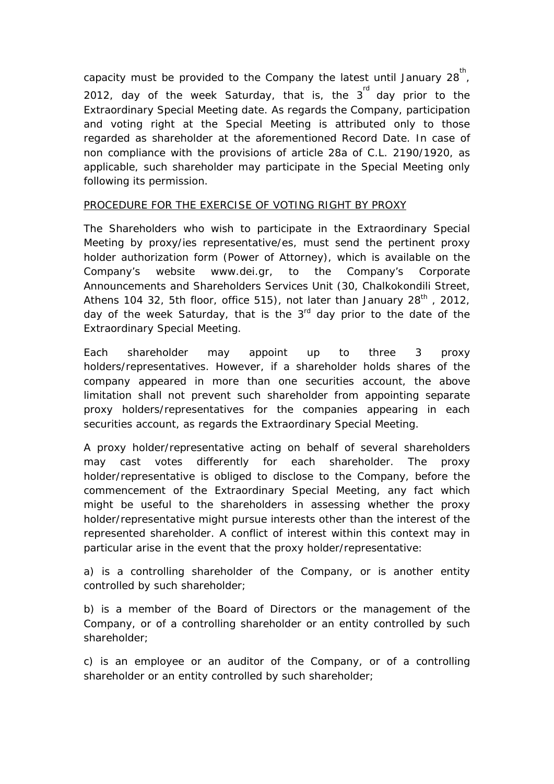capacity must be provided to the Company the latest until January 28 $^{\text{th}}$ , 2012, day of the week Saturday, that is, the  $3<sup>rd</sup>$  day prior to the Extraordinary Special Meeting date. As regards the Company, participation and voting right at the Special Meeting is attributed only to those regarded as shareholder at the aforementioned Record Date. In case of non compliance with the provisions of article 28a of C.L. 2190/1920, as applicable, such shareholder may participate in the Special Meeting only following its permission.

## PROCEDURE FOR THE EXERCISE OF VOTING RIGHT BY PROXY

The Shareholders who wish to participate in the Extraordinary Special Meeting by proxy/ies representative/es, must send the pertinent proxy holder authorization form (Power of Attorney), which is available on the Company's website www.dei.gr, to the Company's Corporate Announcements and Shareholders Services Unit (30, Chalkokondili Street, Athens 104 32, 5th floor, office 515), not later than January  $28<sup>th</sup>$ , 2012, day of the week Saturday, that is the  $3<sup>rd</sup>$  day prior to the date of the Extraordinary Special Meeting.

Each shareholder may appoint up to three 3 proxy holders/representatives. However, if a shareholder holds shares of the company appeared in more than one securities account, the above limitation shall not prevent such shareholder from appointing separate proxy holders/representatives for the companies appearing in each securities account, as regards the Extraordinary Special Meeting.

A proxy holder/representative acting on behalf of several shareholders may cast votes differently for each shareholder. The proxy holder/representative is obliged to disclose to the Company, before the commencement of the Extraordinary Special Meeting, any fact which might be useful to the shareholders in assessing whether the proxy holder/representative might pursue interests other than the interest of the represented shareholder. A conflict of interest within this context may in particular arise in the event that the proxy holder/representative:

a) is a controlling shareholder of the Company, or is another entity controlled by such shareholder;

b) is a member of the Board of Directors or the management of the Company, or of a controlling shareholder or an entity controlled by such shareholder;

c) is an employee or an auditor of the Company, or of a controlling shareholder or an entity controlled by such shareholder;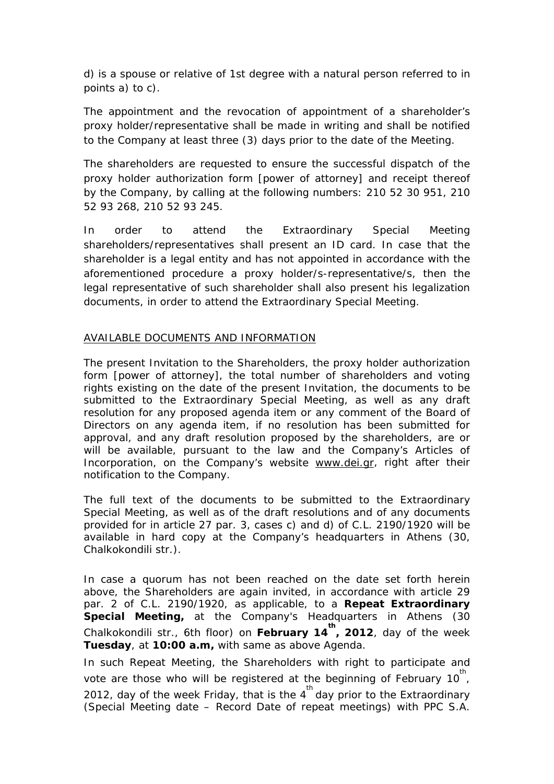d) is a spouse or relative of 1st degree with a natural person referred to in points a) to c).

The appointment and the revocation of appointment of a shareholder's proxy holder/representative shall be made in writing and shall be notified to the Company at least three (3) days prior to the date of the Meeting.

The shareholders are requested to ensure the successful dispatch of the proxy holder authorization form [power of attorney] and receipt thereof by the Company, by calling at the following numbers: 210 52 30 951, 210 52 93 268, 210 52 93 245.

In order to attend the Extraordinary Special Meeting shareholders/representatives shall present an ID card. In case that the shareholder is a legal entity and has not appointed in accordance with the aforementioned procedure a proxy holder/s-representative/s, then the legal representative of such shareholder shall also present his legalization documents, in order to attend the Extraordinary Special Meeting.

## AVAILABLE DOCUMENTS AND INFORMATION

The present Invitation to the Shareholders, the proxy holder authorization form [power of attorney], the total number of shareholders and voting rights existing on the date of the present Invitation, the documents to be submitted to the Extraordinary Special Meeting, as well as any draft resolution for any proposed agenda item or any comment of the Board of Directors on any agenda item, if no resolution has been submitted for approval, and any draft resolution proposed by the shareholders, are or will be available, pursuant to the law and the Company's Articles of Incorporation, on the Company's website www.dei.gr, right after their notification to the Company.

The full text of the documents to be submitted to the Extraordinary Special Meeting, as well as of the draft resolutions and of any documents provided for in article 27 par. 3, cases c) and d) of C.L. 2190/1920 will be available in hard copy at the Company's headquarters in Athens (30, Chalkokondili str.).

In case a quorum has not been reached on the date set forth herein above, the Shareholders are again invited, in accordance with article 29 par. 2 of C.L. 2190/1920, as applicable, to a **Repeat Extraordinary Special Meeting,** at the Company's Headquarters in Athens (30 Chalkokondili str., 6th floor) on **February 14 th , 2012**, day of the week **Tuesday**, at **10:00 a.m,** with same as above Agenda.

In such Repeat Meeting, the Shareholders with right to participate and vote are those who will be registered at the beginning of February 10<sup>th</sup>, 2012, day of the week Friday, that is the  $4^{th}$  day prior to the Extraordinary (Special Meeting date – Record Date of repeat meetings) with PPC S.A.